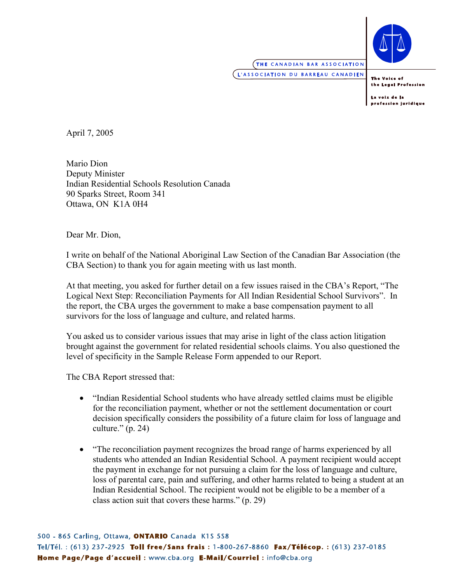

## **THE CANADIAN BAR ASSOCIATION**

L'ASSOCIATION DU BARREAU CANADIEN

The Voice of the Legal Profession

La voix de la profession juridique

April 7, 2005

Mario Dion Deputy Minister Indian Residential Schools Resolution Canada 90 Sparks Street, Room 341 Ottawa, ON K1A 0H4

Dear Mr. Dion,

I write on behalf of the National Aboriginal Law Section of the Canadian Bar Association (the CBA Section) to thank you for again meeting with us last month.

At that meeting, you asked for further detail on a few issues raised in the CBA's Report, "The Logical Next Step: Reconciliation Payments for All Indian Residential School Survivors". In the report, the CBA urges the government to make a base compensation payment to all survivors for the loss of language and culture, and related harms.

You asked us to consider various issues that may arise in light of the class action litigation brought against the government for related residential schools claims. You also questioned the level of specificity in the Sample Release Form appended to our Report.

The CBA Report stressed that:

- "Indian Residential School students who have already settled claims must be eligible for the reconciliation payment, whether or not the settlement documentation or court decision specifically considers the possibility of a future claim for loss of language and culture."  $(p. 24)$
- "The reconciliation payment recognizes the broad range of harms experienced by all students who attended an Indian Residential School. A payment recipient would accept the payment in exchange for not pursuing a claim for the loss of language and culture, loss of parental care, pain and suffering, and other harms related to being a student at an Indian Residential School. The recipient would not be eligible to be a member of a class action suit that covers these harms." (p. 29)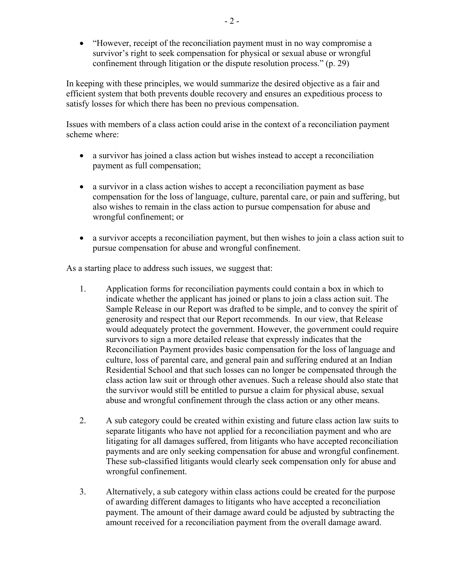• "However, receipt of the reconciliation payment must in no way compromise a survivor's right to seek compensation for physical or sexual abuse or wrongful confinement through litigation or the dispute resolution process." (p. 29)

In keeping with these principles, we would summarize the desired objective as a fair and efficient system that both prevents double recovery and ensures an expeditious process to satisfy losses for which there has been no previous compensation.

Issues with members of a class action could arise in the context of a reconciliation payment scheme where:

- a survivor has joined a class action but wishes instead to accept a reconciliation payment as full compensation;
- a survivor in a class action wishes to accept a reconciliation payment as base compensation for the loss of language, culture, parental care, or pain and suffering, but also wishes to remain in the class action to pursue compensation for abuse and wrongful confinement; or
- a survivor accepts a reconciliation payment, but then wishes to join a class action suit to pursue compensation for abuse and wrongful confinement.

As a starting place to address such issues, we suggest that:

- 1. Application forms for reconciliation payments could contain a box in which to indicate whether the applicant has joined or plans to join a class action suit. The Sample Release in our Report was drafted to be simple, and to convey the spirit of generosity and respect that our Report recommends. In our view, that Release would adequately protect the government. However, the government could require survivors to sign a more detailed release that expressly indicates that the Reconciliation Payment provides basic compensation for the loss of language and culture, loss of parental care, and general pain and suffering endured at an Indian Residential School and that such losses can no longer be compensated through the class action law suit or through other avenues. Such a release should also state that the survivor would still be entitled to pursue a claim for physical abuse, sexual abuse and wrongful confinement through the class action or any other means.
- 2. A sub category could be created within existing and future class action law suits to separate litigants who have not applied for a reconciliation payment and who are litigating for all damages suffered, from litigants who have accepted reconciliation payments and are only seeking compensation for abuse and wrongful confinement. These sub-classified litigants would clearly seek compensation only for abuse and wrongful confinement.
- 3. Alternatively, a sub category within class actions could be created for the purpose of awarding different damages to litigants who have accepted a reconciliation payment. The amount of their damage award could be adjusted by subtracting the amount received for a reconciliation payment from the overall damage award.